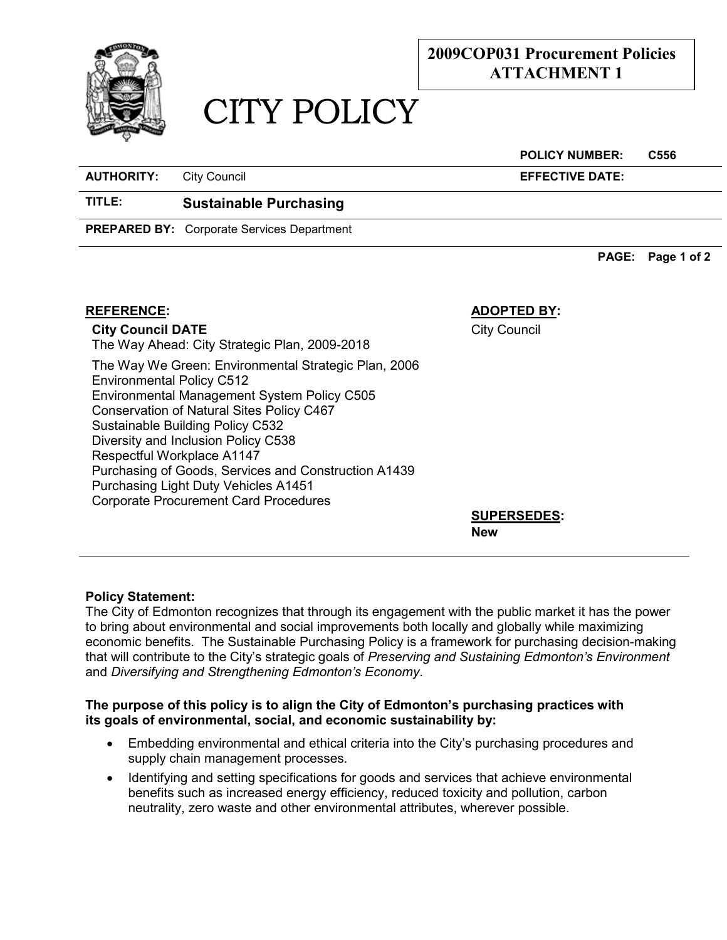

## **2009COP031 Procurement Policies ATTACHMENT 1**

# CITY POLICY

#### **POLICY NUMBER: C556**

**AUTHORITY:** City Council **EFFECTIVE DATE:**

### **TITLE: Sustainable Purchasing**

**PREPARED BY:** Corporate Services Department

**PAGE: Page 1 of 2** 

#### **REFERENCE: ADOPTED BY:**

**City Council DATE**

City Council

The Way Ahead: City Strategic Plan, 2009-2018 The Way We Green: Environmental Strategic Plan, 2006 Environmental Policy C512 Environmental Management System Policy C505 Conservation of Natural Sites Policy C467 Sustainable Building Policy C532 Diversity and Inclusion Policy C538 Respectful Workplace A1147 Purchasing of Goods, Services and Construction A1439 Purchasing Light Duty Vehicles A1451 Corporate Procurement Card Procedures

**SUPERSEDES: New**

#### **Policy Statement:**

The City of Edmonton recognizes that through its engagement with the public market it has the power to bring about environmental and social improvements both locally and globally while maximizing economic benefits. The Sustainable Purchasing Policy is a framework for purchasing decision-making that will contribute to the City's strategic goals of *Preserving and Sustaining Edmonton's Environment*  and *Diversifying and Strengthening Edmonton's Economy*.

#### **The purpose of this policy is to align the City of Edmonton's purchasing practices with its goals of environmental, social, and economic sustainability by:**

- Embedding environmental and ethical criteria into the City's purchasing procedures and supply chain management processes.
- Identifying and setting specifications for goods and services that achieve environmental benefits such as increased energy efficiency, reduced toxicity and pollution, carbon neutrality, zero waste and other environmental attributes, wherever possible.